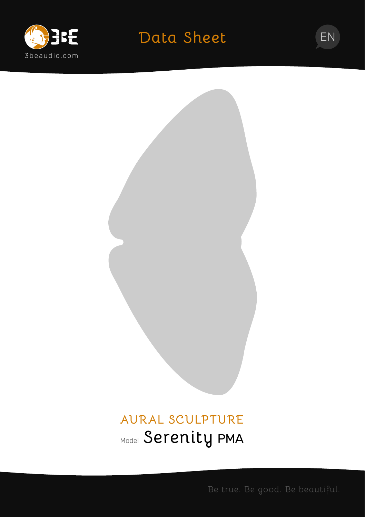

# **Data Sheet** EN



# **AURAL SCULPTURE** Model **Serenity** PMA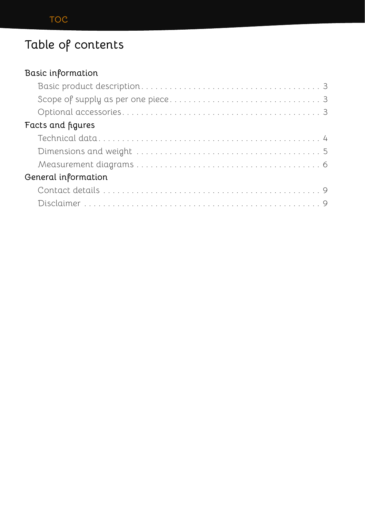## **Table of contents**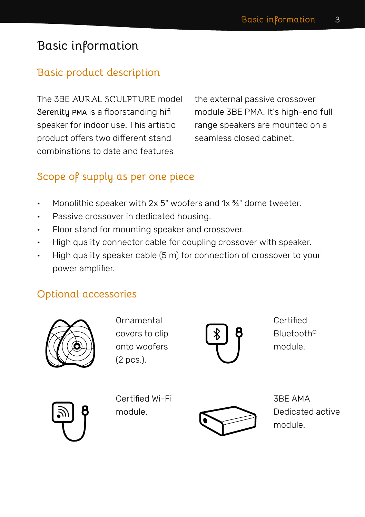## <span id="page-2-0"></span>**Basic information**

#### **Basic product description**

The 3BE AURAL SCULPTURE model **Serenity** PMA is a floorstanding hifi speaker for indoor use. This artistic product offers two different stand combinations to date and features

the external passive crossover module 3BE PMA. It's high-end full range speakers are mounted on a seamless closed cabinet.

#### **Scope of supply as per one piece**

- Monolithic speaker with 2x 5" woofers and 1x 3/4" dome tweeter.
- Passive crossover in dedicated housing.
- Floor stand for mounting speaker and crossover.
- High quality connector cable for coupling crossover with speaker.
- High quality speaker cable (5 m) for connection of crossover to your power amplifier.

#### **Optional accessories**



Ornamental covers to clip onto woofers (2 pcs.).



Certified Bluetooth® module.



Certified Wi-Fi module.



3BE AMA Dedicated active module.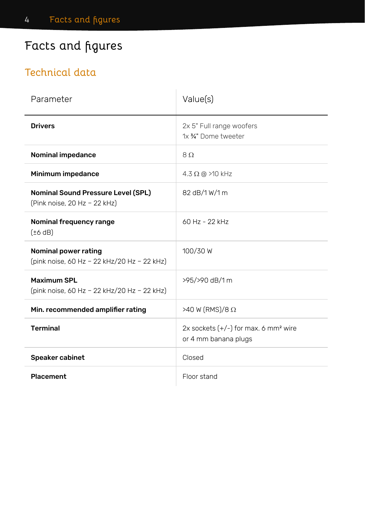## <span id="page-3-0"></span>**Facts and figures**

#### **Technical data**

| Parameter                                                                 | Value(s)                                                                   |
|---------------------------------------------------------------------------|----------------------------------------------------------------------------|
| <b>Drivers</b>                                                            | 2x 5" Full range woofers<br>1x 34" Dome tweeter                            |
| <b>Nominal impedance</b>                                                  | $8\Omega$                                                                  |
| Minimum impedance                                                         | $4.3 \Omega$ @ >10 kHz                                                     |
| <b>Nominal Sound Pressure Level (SPL)</b><br>(Pink noise, 20 Hz - 22 kHz) | 82 dB/1 W/1 m                                                              |
| Nominal frequency range<br>$(\pm 6$ dB)                                   | 60 Hz - 22 kHz                                                             |
| Nominal power rating<br>(pink noise, 60 Hz - 22 kHz/20 Hz - 22 kHz)       | 100/30 W                                                                   |
| <b>Maximum SPL</b><br>(pink noise, 60 Hz - 22 kHz/20 Hz - 22 kHz)         | >95/>90 dB/1 m                                                             |
| Min. recommended amplifier rating                                         | $>40$ W (RMS)/8 $\Omega$                                                   |
| <b>Terminal</b>                                                           | 2x sockets $(+/-)$ for max. 6 mm <sup>2</sup> wire<br>or 4 mm banana plugs |
| Speaker cabinet                                                           | Closed                                                                     |
| <b>Placement</b>                                                          | Floor stand                                                                |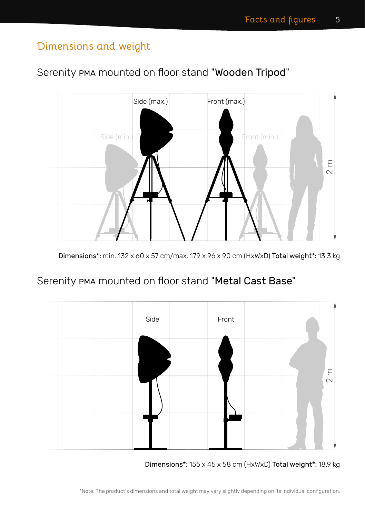#### <span id="page-4-0"></span>**Dimensions and weight**

#### Serenity PMA mounted on floor stand "Wooden Tripod"



Dimensions\*: min. 132 x 60 x 57 cm/max. 179 x 96 x 90 cm (HxWxD) Total weight\*: 13.3 kg

#### Serenity PMA mounted on floor stand "Metal Cast Base"



Dimensions\*: 155 x 45 x 58 cm (HxWxD) Total weight\*: 18.9 kg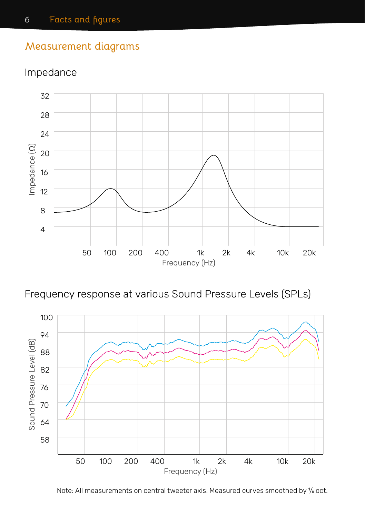#### <span id="page-5-0"></span>**Measurement diagrams**

#### Impedance



Frequency response at various Sound Pressure Levels (SPLs)



Note: All measurements on central tweeter axis. Measured curves smoothed by <sup>1</sup> /6 oct.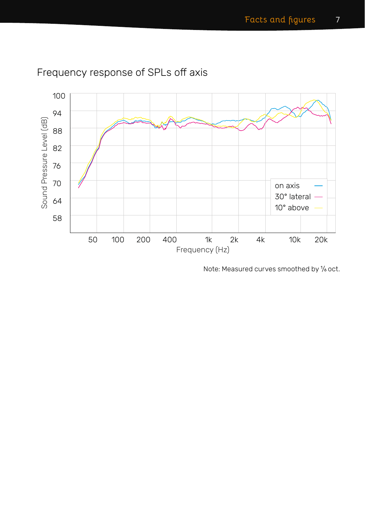

### Frequency response of SPLs off axis

Note: Measured curves smoothed by <sup>1</sup> /6 oct.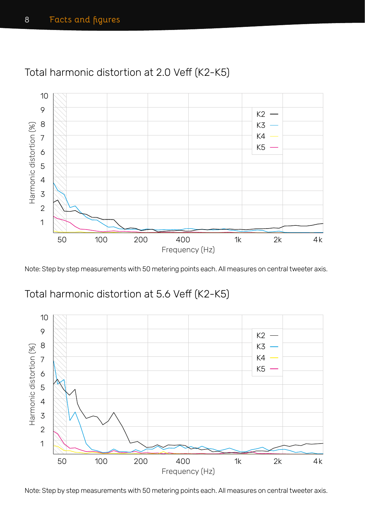

#### Total harmonic distortion at 2.0 Veff (K2-K5)

Note: Step by step measurements with 50 metering points each. All measures on central tweeter axis.

#### Total harmonic distortion at 5.6 Veff (K2-K5)



Note: Step by step measurements with 50 metering points each. All measures on central tweeter axis.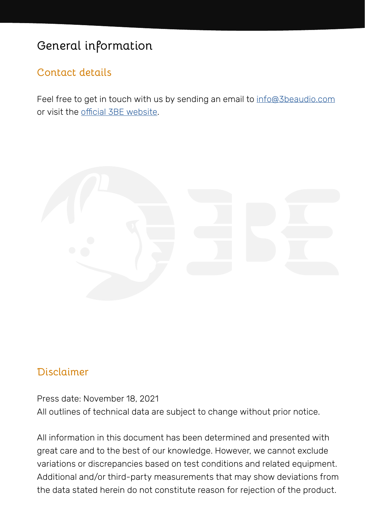## <span id="page-8-0"></span>**General information**

#### **Contact details**

Feel free to get in touch with us by sending an email to [info@3beaudio.com](mailto:info%403beaudio.com?subject=3BE%20Aural%20Sculpture%20Serenity%20PMA%20data%20sheet) or visit the [official 3BE website](https://www.3beaudio.com).



#### **Disclaimer**

Press date: November 18, 2021 All outlines of technical data are subject to change without prior notice.

All information in this document has been determined and presented with great care and to the best of our knowledge. However, we cannot exclude variations or discrepancies based on test conditions and related equipment. Additional and/or third-party measurements that may show deviations from the data stated herein do not constitute reason for rejection of the product.